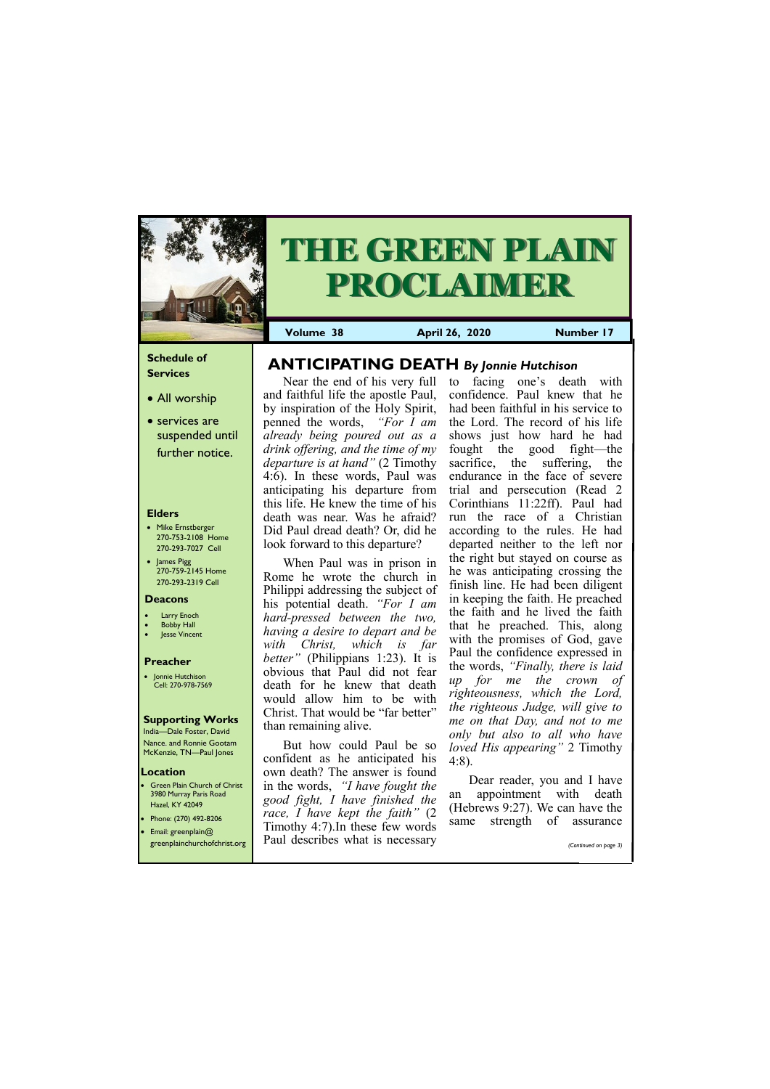### **Schedule of Services**

- All worship
- services are suspended until further notice.

### **Elders**

- Mike Ernstberger 270-753-2108 Home 270-293-7027 Cell
- James Pigg 270-759-2145 Home 270-293-2319 Cell

**Green Plain Church of Christ** 3980 Murray Paris Road Hazel, KY 42049 • Phone: (270) 492-8206



# **THE GREEN PLAIN PROCLAIMER**

### **Location**

**Volume 38 April 26, 2020 Number 17**

### **Deacons**

- **Larry Enoch**
- **Bobby Hall**
- Jesse Vincent

### **Preacher**

• Jonnie Hutchison Cell: 270-978-7569

### **Supporting Works** India—Dale Foster, David

Nance. and Ronnie Gootam McKenzie, TN—Paul Jones

Near the end of his very full and faithful life the apostle Paul, by inspiration of the Holy Spirit, penned the words, *"For I am already being poured out as a drink offering, and the time of my departure is at hand"* (2 Timothy 4:6). In these words, Paul was anticipating his departure from this life. He knew the time of his death was near. Was he afraid? Did Paul dread death? Or, did he look forward to this departure?

When Paul was in prison in Rome he wrote the church in Philippi addressing the subject of his potential death. *"For I am hard-pressed between the two, having a desire to depart and be with Christ, which is far better*<sup>"</sup> (Philippians 1:23). It is obvious that Paul did not fear death for he knew that death would allow him to be with Christ. That would be "far better" than remaining alive.

> Dear reader, you and I have an appointment with death (Hebrews 9:27). We can have the same strength of assurance

| <b>•</b> Email: greenplain@  | Timothy 4:7). In these few words | same | strengti of | assurance             |
|------------------------------|----------------------------------|------|-------------|-----------------------|
| greenplainchurchofchrist.org | Paul describes what is necessary |      |             | (Continued on page 3) |

But how could Paul be so confident as he anticipated his own death? The answer is found in the words, *"I have fought the good fight, I have finished the race, I have kept the faith"* (2

to facing one's death with confidence. Paul knew that he had been faithful in his service to the Lord. The record of his life shows just how hard he had fought the good fight—the sacrifice, the suffering, the endurance in the face of severe trial and persecution (Read 2 Corinthians 11:22ff). Paul had run the race of a Christian according to the rules. He had departed neither to the left nor the right but stayed on course as he was anticipating crossing the finish line. He had been diligent in keeping the faith. He preached the faith and he lived the faith that he preached. This, along with the promises of God, gave Paul the confidence expressed in the words, *"Finally, there is laid up for me the crown of righteousness, which the Lord, the righteous Judge, will give to me on that Day, and not to me only but also to all who have loved His appearing"* 2 Timothy 4:8).

# **ANTICIPATING DEATH** *By Jonnie Hutchison*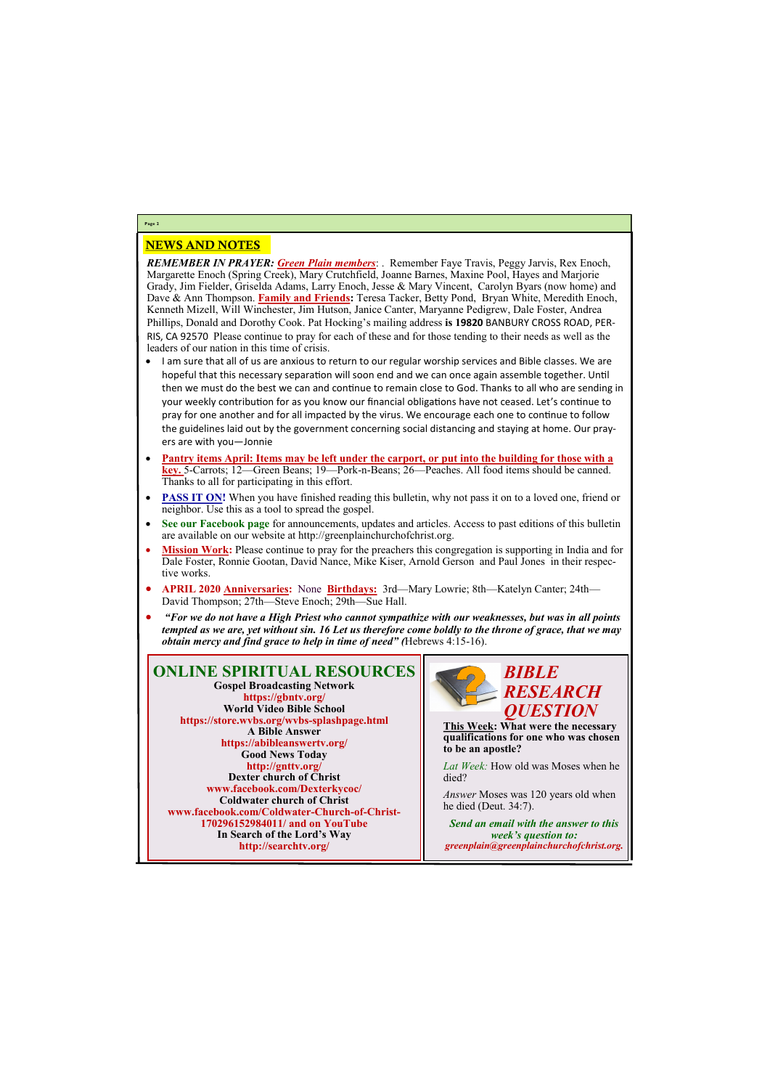### NEWS AND NOTES

*REMEMBER IN PRAYER: Green Plain members*: . Remember Faye Travis, Peggy Jarvis, Rex Enoch, Margarette Enoch (Spring Creek), Mary Crutchfield, Joanne Barnes, Maxine Pool, Hayes and Marjorie Grady, Jim Fielder, Griselda Adams, Larry Enoch, Jesse & Mary Vincent, Carolyn Byars (now home) and Dave & Ann Thompson. **Family and Friends:** Teresa Tacker, Betty Pond, Bryan White, Meredith Enoch, Kenneth Mizell, Will Winchester, Jim Hutson, Janice Canter, Maryanne Pedigrew, Dale Foster, Andrea Phillips, Donald and Dorothy Cook. Pat Hocking's mailing address **is 19820** BANBURY CROSS ROAD, PER-RIS, CA 92570 Please continue to pray for each of these and for those tending to their needs as well as the leaders of our nation in this time of crisis.

- I am sure that all of us are anxious to return to our regular worship services and Bible classes. We are hopeful that this necessary separation will soon end and we can once again assemble together. Until then we must do the best we can and continue to remain close to God. Thanks to all who are sending in your weekly contribution for as you know our financial obligations have not ceased. Let's continue to pray for one another and for all impacted by the virus. We encourage each one to continue to follow the guidelines laid out by the government concerning social distancing and staying at home. Our prayers are with you—Jonnie
- **Pantry items April: Items may be left under the carport, or put into the building for those with a key.** 5-Carrots; 12—Green Beans; 19—Pork-n-Beans; 26—Peaches. All food items should be canned. Thanks to all for participating in this effort.
- **PASS IT ON!** When you have finished reading this bulletin, why not pass it on to a loved one, friend or neighbor. Use this as a tool to spread the gospel.
- **See our Facebook page** for announcements, updates and articles. Access to past editions of this bulletin are available on our website at http://greenplainchurchofchrist.org.
- **Mission Work:** Please continue to pray for the preachers this congregation is supporting in India and for Dale Foster, Ronnie Gootan, David Nance, Mike Kiser, Arnold Gerson and Paul Jones in their respective works.
- **APRIL 2020 Anniversaries:** None **Birthdays:** 3rd—Mary Lowrie; 8th—Katelyn Canter; 24th— David Thompson; 27th—Steve Enoch; 29th—Sue Hall.
- *"For we do not have a High Priest who cannot sympathize with our weaknesses, but was in all points tempted as we are, yet without sin. 16 Let us therefore come boldly to the throne of grace, that we may obtain mercy and find grace to help in time of need" (*Hebrews 4:15-16).

# **Page 2**

**ONLINE SPIRITUAL RESOURCES Gospel Broadcasting Network https://gbntv.org/ World Video Bible School https://store.wvbs.org/wvbs-splashpage.html A Bible Answer https://abibleanswertv.org/ Good News Today http://gnttv.org/ Dexter church of Christ www.facebook.com/Dexterkycoc/ Coldwater church of Christ www.facebook.com/Coldwater-Church-of-Christ-170296152984011/ and on YouTube In Search of the Lord's Way http://searchtv.org/**



**This Week: What were the necessary qualifications for one who was chosen to be an apostle?**

*Lat Week:* How old was Moses when he died?

*Answer* Moses was 120 years old when he died (Deut. 34:7).

*Send an email with the answer to this week's question to: greenplain@greenplainchurchofchrist.org.*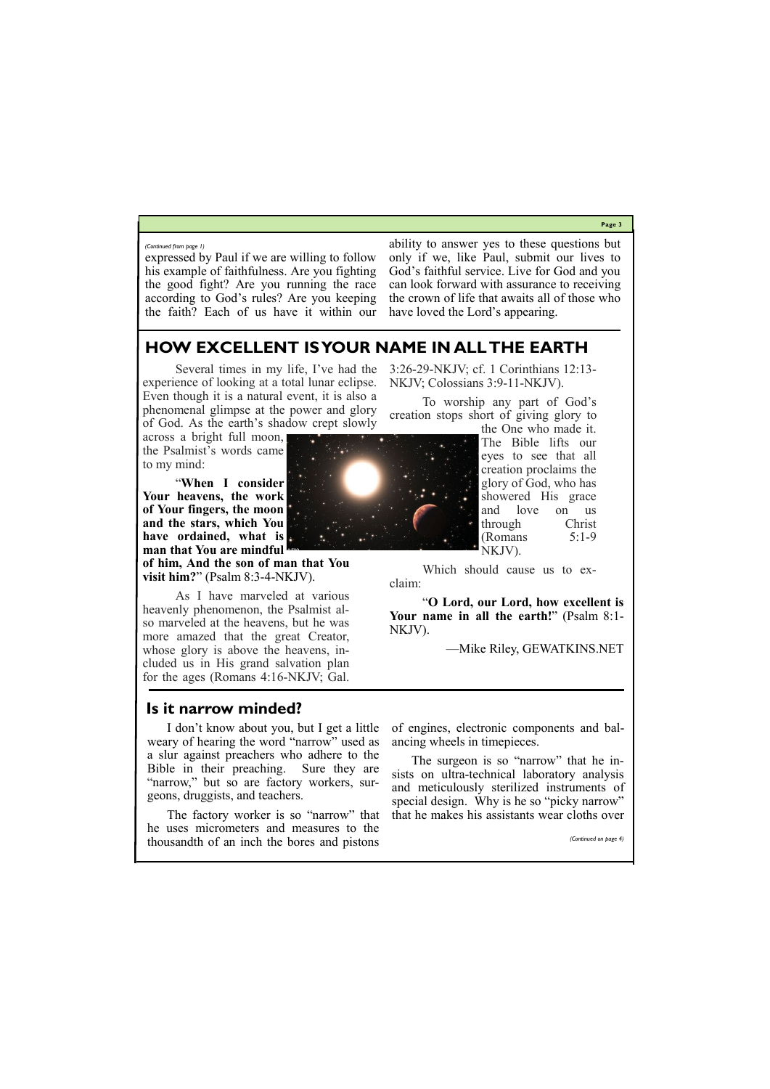**Page 3**

expressed by Paul if we are willing to follow his example of faithfulness. Are you fighting the good fight? Are you running the race according to God's rules? Are you keeping the faith? Each of us have it within our

ability to answer yes to these questions but only if we, like Paul, submit our lives to God's faithful service. Live for God and you can look forward with assurance to receiving the crown of life that awaits all of those who have loved the Lord's appearing.

#### *(Continued from page 1)*

# **HOW EXCELLENT IS YOUR NAME IN ALL THE EARTH**

Several times in my life, I've had the experience of looking at a [total lunar eclipse.](http://www.nasa.gov/vision/universe/watchtheskies/04nov_lunareclipse2.html) Even though it is a natural event, it is also a phenomenal glimpse at the power and glory of God. As the earth's shadow crept slowly

across a bright full moon, the Psalmist's words came to my mind:

"**When I consider Your heavens, the work of Your fingers, the moon and the stars, which You have ordained, what is man that You are mindful** 

**of him, And the son of man that You visit him?**" (Psalm 8:3-4-NKJV).

As I have marveled at various heavenly phenomenon, the Psalmist also marveled at the heavens, but he was more amazed that the great Creator, whose glory is above the heavens, included us in His grand salvation plan for the ages (Romans 4:16-NKJV; Gal.

3:26-29-NKJV; cf. 1 Corinthians 12:13- NKJV; Colossians 3:9-11-NKJV).

To worship any part of God's creation stops short of giving glory to

the One who made it. The Bible lifts our eyes to see that all creation proclaims the glory of God, who has showered His grace and love on us through Christ (Romans 5:1-9 NKJV).

Which should cause us to exclaim:

"**O Lord, our Lord, how excellent is Your name in all the earth!**" (Psalm 8:1- NKJV).

—Mike Riley, GEWATKINS.NET

### **Is it narrow minded?**

I don't know about you, but I get a little weary of hearing the word "narrow" used as a slur against preachers who adhere to the Bible in their preaching. Sure they are "narrow," but so are factory workers, surgeons, druggists, and teachers.

The factory worker is so "narrow" that

he uses micrometers and measures to the thousandth of an inch the bores and pistons of engines, electronic components and balancing wheels in timepieces.

The surgeon is so "narrow" that he insists on ultra-technical laboratory analysis and meticulously sterilized instruments of special design. Why is he so "picky narrow" that he makes his assistants wear cloths over

*(Continued on page 4)*